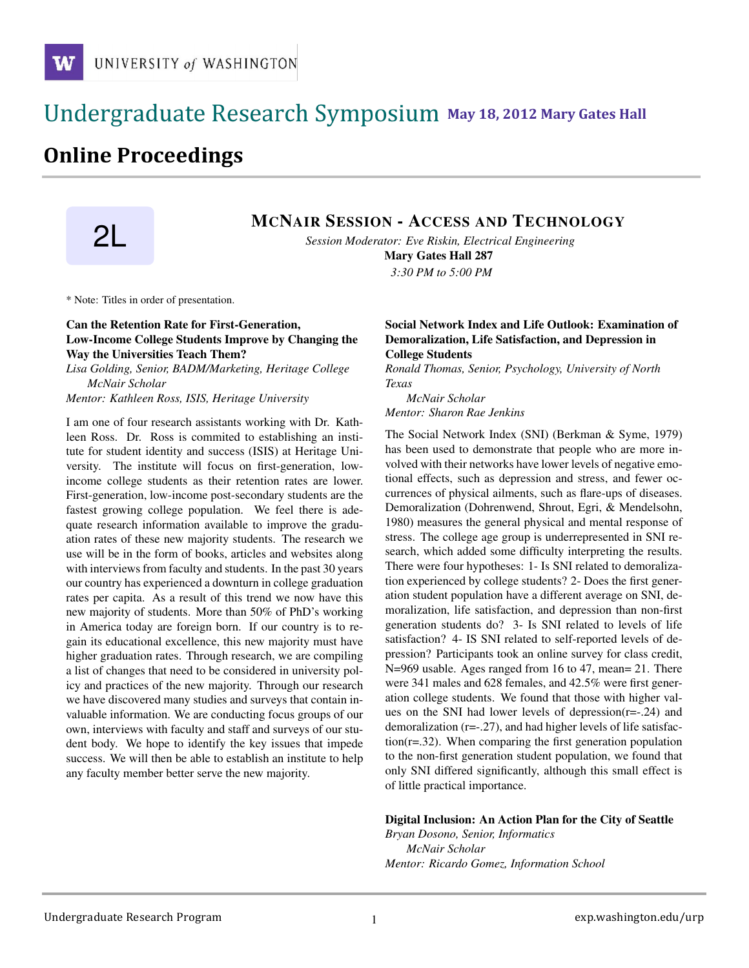# !!!!!!!!!!!!!!!!!!!!!!!!!!!!!!!!!!!!!!!!!!!!!!!!!!!!!!!!!!!!!!!!!!!!!!!!!!!!!!!!!!!!!!!!!!!!!!!!! **111 May 18, 2012 Mary Gates Hall** !!!!!!!!!!!!!!!!!!!!!!!!!!!!!!!!!!!!!!!!!!!!!!!!!!!!!!!!!!!!!!!!!!!!!!!!!!!!!!!!!!

# **Online Proceedings**

# **2L MCNAIR SESSION - ACCESS AND TECHNOLOGY**

*Session Moderator: Eve Riskin, Electrical Engineering*

Mary Gates Hall 287 *3:30 PM to 5:00 PM*

\* Note: Titles in order of presentation.

## Can the Retention Rate for First-Generation, Low-Income College Students Improve by Changing the Way the Universities Teach Them?

*Lisa Golding, Senior, BADM/Marketing, Heritage College McNair Scholar*

*Mentor: Kathleen Ross, ISIS, Heritage University*

I am one of four research assistants working with Dr. Kathleen Ross. Dr. Ross is commited to establishing an institute for student identity and success (ISIS) at Heritage University. The institute will focus on first-generation, lowincome college students as their retention rates are lower. First-generation, low-income post-secondary students are the fastest growing college population. We feel there is adequate research information available to improve the graduation rates of these new majority students. The research we use will be in the form of books, articles and websites along with interviews from faculty and students. In the past 30 years our country has experienced a downturn in college graduation rates per capita. As a result of this trend we now have this new majority of students. More than 50% of PhD's working in America today are foreign born. If our country is to regain its educational excellence, this new majority must have higher graduation rates. Through research, we are compiling a list of changes that need to be considered in university policy and practices of the new majority. Through our research we have discovered many studies and surveys that contain invaluable information. We are conducting focus groups of our own, interviews with faculty and staff and surveys of our student body. We hope to identify the key issues that impede success. We will then be able to establish an institute to help any faculty member better serve the new majority.

### Social Network Index and Life Outlook: Examination of Demoralization, Life Satisfaction, and Depression in College Students

*Ronald Thomas, Senior, Psychology, University of North Texas*

*McNair Scholar Mentor: Sharon Rae Jenkins*

The Social Network Index (SNI) (Berkman & Syme, 1979) has been used to demonstrate that people who are more involved with their networks have lower levels of negative emotional effects, such as depression and stress, and fewer occurrences of physical ailments, such as flare-ups of diseases. Demoralization (Dohrenwend, Shrout, Egri, & Mendelsohn, 1980) measures the general physical and mental response of stress. The college age group is underrepresented in SNI research, which added some difficulty interpreting the results. There were four hypotheses: 1- Is SNI related to demoralization experienced by college students? 2- Does the first generation student population have a different average on SNI, demoralization, life satisfaction, and depression than non-first generation students do? 3- Is SNI related to levels of life satisfaction? 4- IS SNI related to self-reported levels of depression? Participants took an online survey for class credit, N=969 usable. Ages ranged from 16 to 47, mean= 21. There were 341 males and 628 females, and 42.5% were first generation college students. We found that those with higher values on the SNI had lower levels of depression(r=-.24) and demoralization (r=-.27), and had higher levels of life satisfaction(r=.32). When comparing the first generation population to the non-first generation student population, we found that only SNI differed significantly, although this small effect is of little practical importance.

#### Digital Inclusion: An Action Plan for the City of Seattle

*Bryan Dosono, Senior, Informatics McNair Scholar Mentor: Ricardo Gomez, Information School*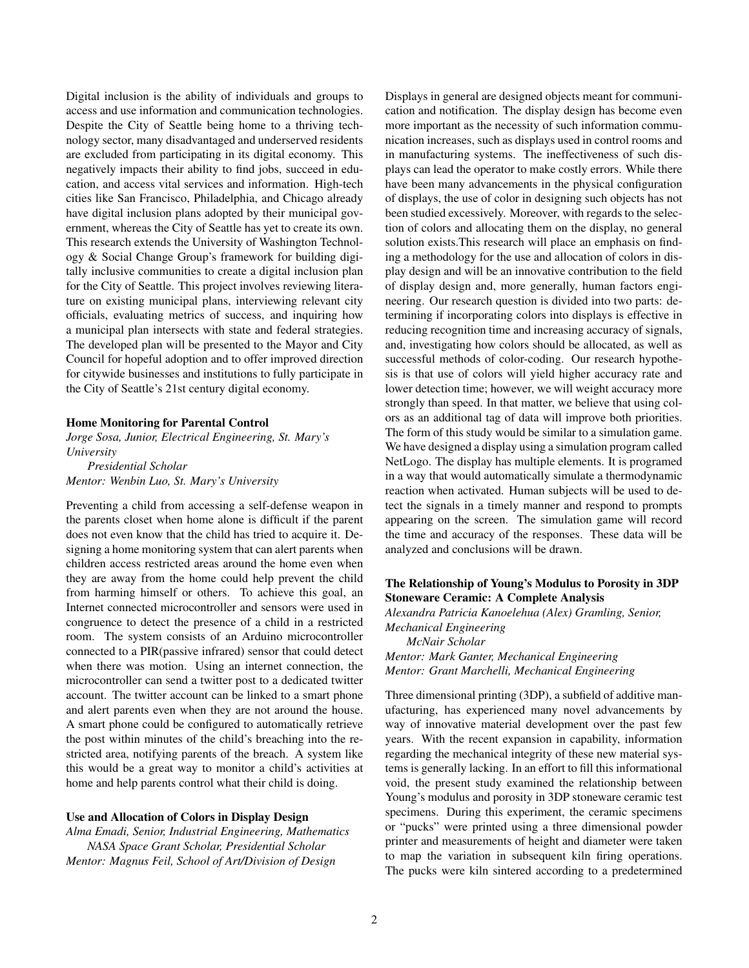Digital inclusion is the ability of individuals and groups to access and use information and communication technologies. Despite the City of Seattle being home to a thriving technology sector, many disadvantaged and underserved residents are excluded from participating in its digital economy. This negatively impacts their ability to find jobs, succeed in education, and access vital services and information. High-tech cities like San Francisco, Philadelphia, and Chicago already have digital inclusion plans adopted by their municipal government, whereas the City of Seattle has yet to create its own. This research extends the University of Washington Technology & Social Change Group's framework for building digitally inclusive communities to create a digital inclusion plan for the City of Seattle. This project involves reviewing literature on existing municipal plans, interviewing relevant city officials, evaluating metrics of success, and inquiring how a municipal plan intersects with state and federal strategies. The developed plan will be presented to the Mayor and City Council for hopeful adoption and to offer improved direction for citywide businesses and institutions to fully participate in the City of Seattle's 21st century digital economy.

#### Home Monitoring for Parental Control

*Jorge Sosa, Junior, Electrical Engineering, St. Mary's University*

*Presidential Scholar Mentor: Wenbin Luo, St. Mary's University*

Preventing a child from accessing a self-defense weapon in the parents closet when home alone is difficult if the parent does not even know that the child has tried to acquire it. Designing a home monitoring system that can alert parents when children access restricted areas around the home even when they are away from the home could help prevent the child from harming himself or others. To achieve this goal, an Internet connected microcontroller and sensors were used in congruence to detect the presence of a child in a restricted room. The system consists of an Arduino microcontroller connected to a PIR(passive infrared) sensor that could detect when there was motion. Using an internet connection, the microcontroller can send a twitter post to a dedicated twitter account. The twitter account can be linked to a smart phone and alert parents even when they are not around the house. A smart phone could be configured to automatically retrieve the post within minutes of the child's breaching into the restricted area, notifying parents of the breach. A system like this would be a great way to monitor a child's activities at home and help parents control what their child is doing.

#### Use and Allocation of Colors in Display Design

*Alma Emadi, Senior, Industrial Engineering, Mathematics NASA Space Grant Scholar, Presidential Scholar Mentor: Magnus Feil, School of Art/Division of Design*

Displays in general are designed objects meant for communication and notification. The display design has become even more important as the necessity of such information communication increases, such as displays used in control rooms and in manufacturing systems. The ineffectiveness of such displays can lead the operator to make costly errors. While there have been many advancements in the physical configuration of displays, the use of color in designing such objects has not been studied excessively. Moreover, with regards to the selection of colors and allocating them on the display, no general solution exists.This research will place an emphasis on finding a methodology for the use and allocation of colors in display design and will be an innovative contribution to the field of display design and, more generally, human factors engineering. Our research question is divided into two parts: determining if incorporating colors into displays is effective in reducing recognition time and increasing accuracy of signals, and, investigating how colors should be allocated, as well as successful methods of color-coding. Our research hypothesis is that use of colors will yield higher accuracy rate and lower detection time; however, we will weight accuracy more strongly than speed. In that matter, we believe that using colors as an additional tag of data will improve both priorities. The form of this study would be similar to a simulation game. We have designed a display using a simulation program called NetLogo. The display has multiple elements. It is programed in a way that would automatically simulate a thermodynamic reaction when activated. Human subjects will be used to detect the signals in a timely manner and respond to prompts appearing on the screen. The simulation game will record the time and accuracy of the responses. These data will be analyzed and conclusions will be drawn.

### The Relationship of Young's Modulus to Porosity in 3DP Stoneware Ceramic: A Complete Analysis

*Alexandra Patricia Kanoelehua (Alex) Gramling, Senior, Mechanical Engineering McNair Scholar Mentor: Mark Ganter, Mechanical Engineering*

*Mentor: Grant Marchelli, Mechanical Engineering*

Three dimensional printing (3DP), a subfield of additive manufacturing, has experienced many novel advancements by way of innovative material development over the past few years. With the recent expansion in capability, information regarding the mechanical integrity of these new material systems is generally lacking. In an effort to fill this informational void, the present study examined the relationship between Young's modulus and porosity in 3DP stoneware ceramic test specimens. During this experiment, the ceramic specimens or "pucks" were printed using a three dimensional powder printer and measurements of height and diameter were taken to map the variation in subsequent kiln firing operations. The pucks were kiln sintered according to a predetermined